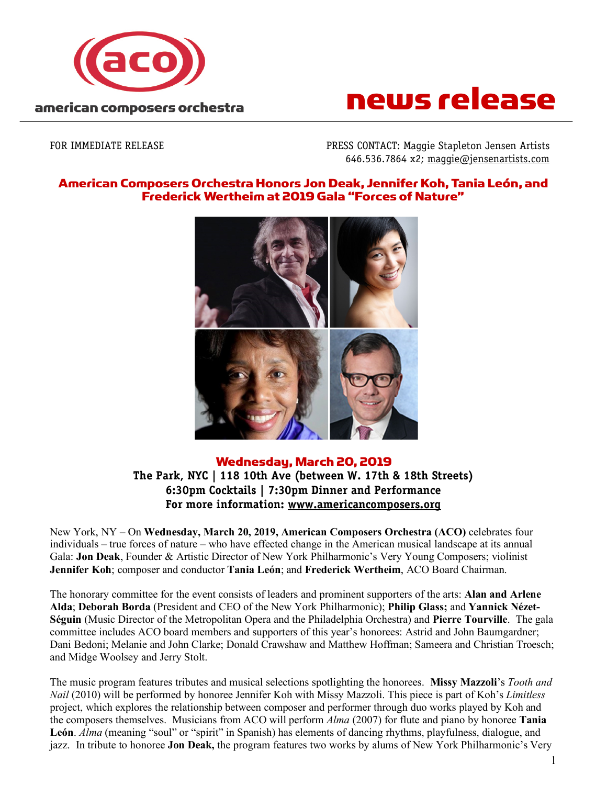

# news release

FOR IMMEDIATE RELEASE PRESS CONTACT: Maggie Stapleton Jensen Artists 646.536.7864 x2; maggie@jensenartists.com

#### American Composers Orchestra Honors Jon Deak, Jennifer Koh, Tania León, and Frederick Wertheim at 2019 Gala "Forces of Nature"



### Wednesday, March 20, 2019 **The Park, NYC | 118 10th Ave (between W. 17th & 18th Streets) 6:30pm Cocktails | 7:30pm Dinner and Performance For more information: www.americancomposers.org**

New York, NY – On **Wednesday, March 20, 2019, American Composers Orchestra (ACO)** celebrates four individuals – true forces of nature – who have effected change in the American musical landscape at its annual Gala: **Jon Deak**, Founder & Artistic Director of New York Philharmonic's Very Young Composers; violinist **Jennifer Koh**; composer and conductor **Tania León**; and **Frederick Wertheim**, ACO Board Chairman.

The honorary committee for the event consists of leaders and prominent supporters of the arts: **Alan and Arlene Alda**; **Deborah Borda** (President and CEO of the New York Philharmonic); **Philip Glass;** and **Yannick Nézet-Séguin** (Music Director of the Metropolitan Opera and the Philadelphia Orchestra) and **Pierre Tourville**. The gala committee includes ACO board members and supporters of this year's honorees: Astrid and John Baumgardner; Dani Bedoni; Melanie and John Clarke; Donald Crawshaw and Matthew Hoffman; Sameera and Christian Troesch; and Midge Woolsey and Jerry Stolt.

The music program features tributes and musical selections spotlighting the honorees. **Missy Mazzoli**'s *Tooth and Nail* (2010) will be performed by honoree Jennifer Koh with Missy Mazzoli. This piece is part of Koh's *Limitless* project, which explores the relationship between composer and performer through duo works played by Koh and the composers themselves. Musicians from ACO will perform *Alma* (2007) for flute and piano by honoree **Tania**  León. *Alma* (meaning "soul" or "spirit" in Spanish) has elements of dancing rhythms, playfulness, dialogue, and jazz. In tribute to honoree **Jon Deak,** the program features two works by alums of New York Philharmonic's Very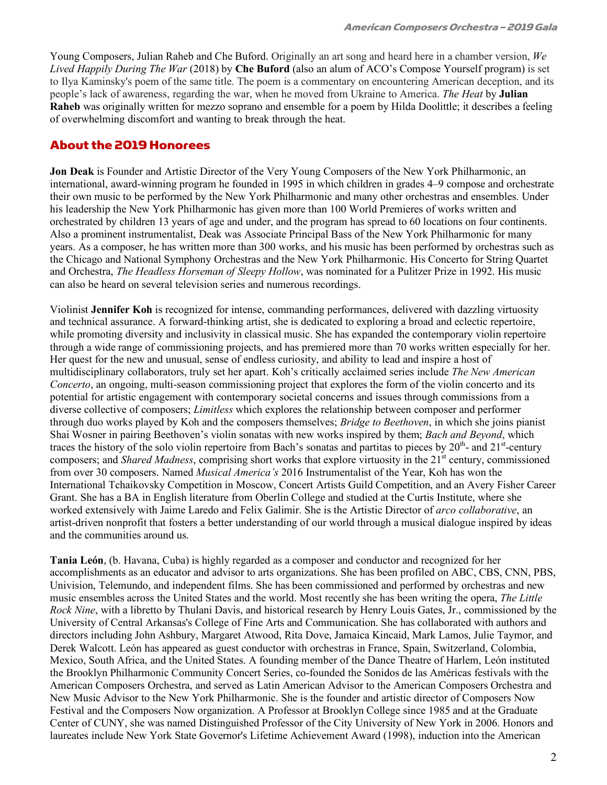Young Composers, Julian Raheb and Che Buford. Originally an art song and heard here in a chamber version, *We Lived Happily During The War* (2018) by **Che Buford** (also an alum of ACO's Compose Yourself program) is set to Ilya Kaminsky's poem of the same title. The poem is a commentary on encountering American deception, and its people's lack of awareness, regarding the war, when he moved from Ukraine to America. *The Heat* by **Julian Raheb** was originally written for mezzo soprano and ensemble for a poem by Hilda Doolittle; it describes a feeling of overwhelming discomfort and wanting to break through the heat.

#### About the 2019 Honorees

**Jon Deak** is Founder and Artistic Director of the Very Young Composers of the New York Philharmonic, an international, award-winning program he founded in 1995 in which children in grades 4–9 compose and orchestrate their own music to be performed by the New York Philharmonic and many other orchestras and ensembles. Under his leadership the New York Philharmonic has given more than 100 World Premieres of works written and orchestrated by children 13 years of age and under, and the program has spread to 60 locations on four continents. Also a prominent instrumentalist, Deak was Associate Principal Bass of the New York Philharmonic for many years. As a composer, he has written more than 300 works, and his music has been performed by orchestras such as the Chicago and National Symphony Orchestras and the New York Philharmonic. His Concerto for String Quartet and Orchestra, *The Headless Horseman of Sleepy Hollow*, was nominated for a Pulitzer Prize in 1992. His music can also be heard on several television series and numerous recordings.

Violinist **Jennifer Koh** is recognized for intense, commanding performances, delivered with dazzling virtuosity and technical assurance. A forward-thinking artist, she is dedicated to exploring a broad and eclectic repertoire, while promoting diversity and inclusivity in classical music. She has expanded the contemporary violin repertoire through a wide range of commissioning projects, and has premiered more than 70 works written especially for her. Her quest for the new and unusual, sense of endless curiosity, and ability to lead and inspire a host of multidisciplinary collaborators, truly set her apart. Koh's critically acclaimed series include *The New American Concerto*, an ongoing, multi-season commissioning project that explores the form of the violin concerto and its potential for artistic engagement with contemporary societal concerns and issues through commissions from a diverse collective of composers; *Limitless* which explores the relationship between composer and performer through duo works played by Koh and the composers themselves; *Bridge to Beethoven*, in which she joins pianist Shai Wosner in pairing Beethoven's violin sonatas with new works inspired by them; *Bach and Beyond*, which traces the history of the solo violin repertoire from Bach's sonatas and partitas to pieces by  $20^{th}$ - and  $21^{st}$ -century composers; and *Shared Madness*, comprising short works that explore virtuosity in the 21<sup>st</sup> century, commissioned from over 30 composers. Named *Musical America's* 2016 Instrumentalist of the Year, Koh has won the International Tchaikovsky Competition in Moscow, Concert Artists Guild Competition, and an Avery Fisher Career Grant. She has a BA in English literature from Oberlin College and studied at the Curtis Institute, where she worked extensively with Jaime Laredo and Felix Galimir. She is the Artistic Director of *arco collaborative*, an artist-driven nonprofit that fosters a better understanding of our world through a musical dialogue inspired by ideas and the communities around us.

**Tania León**, (b. Havana, Cuba) is highly regarded as a composer and conductor and recognized for her accomplishments as an educator and advisor to arts organizations. She has been profiled on ABC, CBS, CNN, PBS, Univision, Telemundo, and independent films. She has been commissioned and performed by orchestras and new music ensembles across the United States and the world. Most recently she has been writing the opera, *The Little Rock Nine*, with a libretto by Thulani Davis, and historical research by Henry Louis Gates, Jr., commissioned by the University of Central Arkansas's College of Fine Arts and Communication. She has collaborated with authors and directors including John Ashbury, Margaret Atwood, Rita Dove, Jamaica Kincaid, Mark Lamos, Julie Taymor, and Derek Walcott. León has appeared as guest conductor with orchestras in France, Spain, Switzerland, Colombia, Mexico, South Africa, and the United States. A founding member of the Dance Theatre of Harlem, León instituted the Brooklyn Philharmonic Community Concert Series, co-founded the Sonidos de las Américas festivals with the American Composers Orchestra, and served as Latin American Advisor to the American Composers Orchestra and New Music Advisor to the New York Philharmonic. She is the founder and artistic director of Composers Now Festival and the Composers Now organization. A Professor at Brooklyn College since 1985 and at the Graduate Center of CUNY, she was named Distinguished Professor of the City University of New York in 2006. Honors and laureates include New York State Governor's Lifetime Achievement Award (1998), induction into the American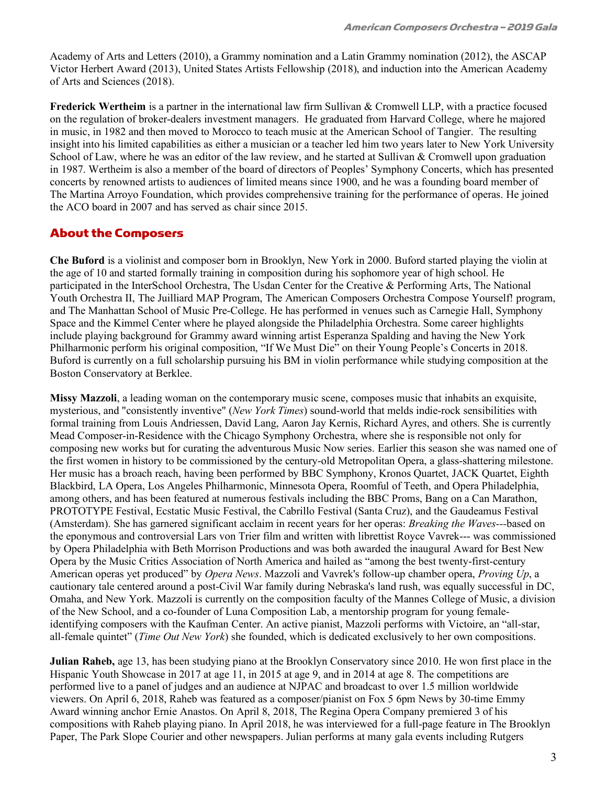Academy of Arts and Letters (2010), a Grammy nomination and a Latin Grammy nomination (2012), the ASCAP Victor Herbert Award (2013), United States Artists Fellowship (2018), and induction into the American Academy of Arts and Sciences (2018).

**Frederick Wertheim** is a partner in the international law firm Sullivan & Cromwell LLP, with a practice focused on the regulation of broker-dealers investment managers. He graduated from Harvard College, where he majored in music, in 1982 and then moved to Morocco to teach music at the American School of Tangier. The resulting insight into his limited capabilities as either a musician or a teacher led him two years later to New York University School of Law, where he was an editor of the law review, and he started at Sullivan  $\&$  Cromwell upon graduation in 1987. Wertheim is also a member of the board of directors of Peoples' Symphony Concerts, which has presented concerts by renowned artists to audiences of limited means since 1900, and he was a founding board member of The Martina Arroyo Foundation, which provides comprehensive training for the performance of operas. He joined the ACO board in 2007 and has served as chair since 2015.

#### About the Composers

**Che Buford** is a violinist and composer born in Brooklyn, New York in 2000. Buford started playing the violin at the age of 10 and started formally training in composition during his sophomore year of high school. He participated in the InterSchool Orchestra, The Usdan Center for the Creative & Performing Arts, The National Youth Orchestra II, The Juilliard MAP Program, The American Composers Orchestra Compose Yourself! program, and The Manhattan School of Music Pre-College. He has performed in venues such as Carnegie Hall, Symphony Space and the Kimmel Center where he played alongside the Philadelphia Orchestra. Some career highlights include playing background for Grammy award winning artist Esperanza Spalding and having the New York Philharmonic perform his original composition, "If We Must Die" on their Young People's Concerts in 2018. Buford is currently on a full scholarship pursuing his BM in violin performance while studying composition at the Boston Conservatory at Berklee.

**Missy Mazzoli**, a leading woman on the contemporary music scene, composes music that inhabits an exquisite, mysterious, and "consistently inventive" (*New York Times*) sound-world that melds indie-rock sensibilities with formal training from Louis Andriessen, David Lang, Aaron Jay Kernis, Richard Ayres, and others. She is currently Mead Composer-in-Residence with the Chicago Symphony Orchestra, where she is responsible not only for composing new works but for curating the adventurous Music Now series. Earlier this season she was named one of the first women in history to be commissioned by the century-old Metropolitan Opera, a glass-shattering milestone. Her music has a broach reach, having been performed by BBC Symphony, Kronos Quartet, JACK Quartet, Eighth Blackbird, LA Opera, Los Angeles Philharmonic, Minnesota Opera, Roomful of Teeth, and Opera Philadelphia, among others, and has been featured at numerous festivals including the BBC Proms, Bang on a Can Marathon, PROTOTYPE Festival, Ecstatic Music Festival, the Cabrillo Festival (Santa Cruz), and the Gaudeamus Festival (Amsterdam). She has garnered significant acclaim in recent years for her operas: *Breaking the Waves---*based on the eponymous and controversial Lars von Trier film and written with librettist Royce Vavrek--- was commissioned by Opera Philadelphia with Beth Morrison Productions and was both awarded the inaugural Award for Best New Opera by the Music Critics Association of North America and hailed as "among the best twenty-first-century American operas yet produced" by *Opera News*. Mazzoli and Vavrek's follow-up chamber opera, *Proving Up*, a cautionary tale centered around a post-Civil War family during Nebraska's land rush, was equally successful in DC, Omaha, and New York. Mazzoli is currently on the composition faculty of the Mannes College of Music, a division of the New School, and a co-founder of Luna Composition Lab, a mentorship program for young femaleidentifying composers with the Kaufman Center. An active pianist, Mazzoli performs with Victoire, an "all-star, all-female quintet" (*Time Out New York*) she founded, which is dedicated exclusively to her own compositions.

**Julian Raheb,** age 13, has been studying piano at the Brooklyn Conservatory since 2010. He won first place in the Hispanic Youth Showcase in 2017 at age 11, in 2015 at age 9, and in 2014 at age 8. The competitions are performed live to a panel of judges and an audience at NJPAC and broadcast to over 1.5 million worldwide viewers. On April 6, 2018, Raheb was featured as a composer/pianist on Fox 5 6pm News by 30-time Emmy Award winning anchor Ernie Anastos. On April 8, 2018, The Regina Opera Company premiered 3 of his compositions with Raheb playing piano. In April 2018, he was interviewed for a full-page feature in The Brooklyn Paper, The Park Slope Courier and other newspapers. Julian performs at many gala events including Rutgers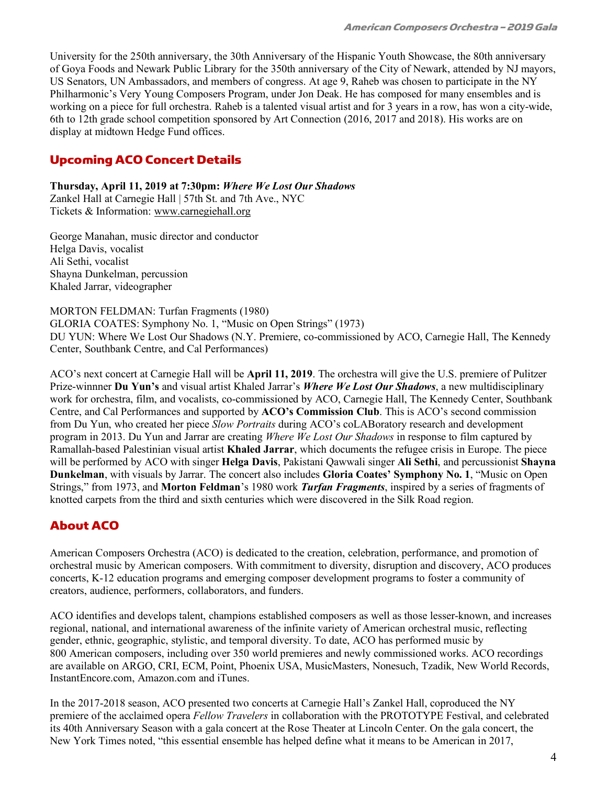University for the 250th anniversary, the 30th Anniversary of the Hispanic Youth Showcase, the 80th anniversary of Goya Foods and Newark Public Library for the 350th anniversary of the City of Newark, attended by NJ mayors, US Senators, UN Ambassadors, and members of congress. At age 9, Raheb was chosen to participate in the NY Philharmonic's Very Young Composers Program, under Jon Deak. He has composed for many ensembles and is working on a piece for full orchestra. Raheb is a talented visual artist and for 3 years in a row, has won a city-wide, 6th to 12th grade school competition sponsored by Art Connection (2016, 2017 and 2018). His works are on display at midtown Hedge Fund offices.

# Upcoming ACO Concert Details

**Thursday, April 11, 2019 at 7:30pm:** *Where We Lost Our Shadows* Zankel Hall at Carnegie Hall | 57th St. and 7th Ave., NYC Tickets & Information: www.carnegiehall.org

George Manahan, music director and conductor Helga Davis, vocalist Ali Sethi, vocalist Shayna Dunkelman, percussion Khaled Jarrar, videographer

MORTON FELDMAN: Turfan Fragments (1980) GLORIA COATES: Symphony No. 1, "Music on Open Strings" (1973) DU YUN: Where We Lost Our Shadows (N.Y. Premiere, co-commissioned by ACO, Carnegie Hall, The Kennedy Center, Southbank Centre, and Cal Performances)

ACO's next concert at Carnegie Hall will be **April 11, 2019**. The orchestra will give the U.S. premiere of Pulitzer Prize-winnner **Du Yun's** and visual artist Khaled Jarrar's *Where We Lost Our Shadows*, a new multidisciplinary work for orchestra, film, and vocalists, co-commissioned by ACO, Carnegie Hall, The Kennedy Center, Southbank Centre, and Cal Performances and supported by **ACO's Commission Club**. This is ACO's second commission from Du Yun, who created her piece *Slow Portraits* during ACO's coLABoratory research and development program in 2013. Du Yun and Jarrar are creating *Where We Lost Our Shadows* in response to film captured by Ramallah-based Palestinian visual artist **Khaled Jarrar**, which documents the refugee crisis in Europe. The piece will be performed by ACO with singer **Helga Davis**, Pakistani Qawwali singer **Ali Sethi**, and percussionist **Shayna Dunkelman**, with visuals by Jarrar. The concert also includes **Gloria Coates' Symphony No. 1**, "Music on Open Strings," from 1973, and **Morton Feldman**'s 1980 work *Turfan Fragments*, inspired by a series of fragments of knotted carpets from the third and sixth centuries which were discovered in the Silk Road region.

## About ACO

American Composers Orchestra (ACO) is dedicated to the creation, celebration, performance, and promotion of orchestral music by American composers. With commitment to diversity, disruption and discovery, ACO produces concerts, K-12 education programs and emerging composer development programs to foster a community of creators, audience, performers, collaborators, and funders.

ACO identifies and develops talent, champions established composers as well as those lesser-known, and increases regional, national, and international awareness of the infinite variety of American orchestral music, reflecting gender, ethnic, geographic, stylistic, and temporal diversity. To date, ACO has performed music by 800 American composers, including over 350 world premieres and newly commissioned works. ACO recordings are available on ARGO, CRI, ECM, Point, Phoenix USA, MusicMasters, Nonesuch, Tzadik, New World Records, InstantEncore.com, Amazon.com and iTunes.

In the 2017-2018 season, ACO presented two concerts at Carnegie Hall's Zankel Hall, coproduced the NY premiere of the acclaimed opera *Fellow Travelers* in collaboration with the PROTOTYPE Festival, and celebrated its 40th Anniversary Season with a gala concert at the Rose Theater at Lincoln Center. On the gala concert, the New York Times noted, "this essential ensemble has helped define what it means to be American in 2017,